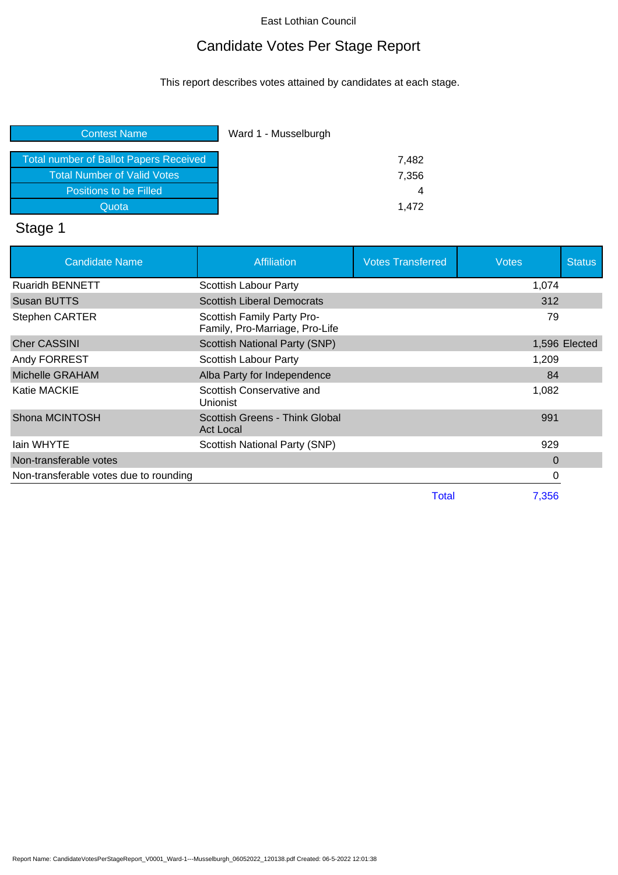## Candidate Votes Per Stage Report

This report describes votes attained by candidates at each stage.

| Ward 1 - Musselburgh |
|----------------------|
| 7,482                |
| 7,356                |
| 4                    |
| 1.472                |
|                      |

# Stage 1

| <b>Candidate Name</b>                  | <b>Affiliation</b>                                           | <b>Votes Transferred</b> | Votes | <b>Status</b> |
|----------------------------------------|--------------------------------------------------------------|--------------------------|-------|---------------|
| <b>Ruaridh BENNETT</b>                 | Scottish Labour Party                                        |                          | 1,074 |               |
| Susan BUTTS                            | <b>Scottish Liberal Democrats</b>                            |                          | 312   |               |
| <b>Stephen CARTER</b>                  | Scottish Family Party Pro-<br>Family, Pro-Marriage, Pro-Life |                          | 79    |               |
| <b>Cher CASSINI</b>                    | Scottish National Party (SNP)                                |                          |       | 1,596 Elected |
| Andy FORREST                           | Scottish Labour Party                                        |                          | 1,209 |               |
| Michelle GRAHAM                        | Alba Party for Independence                                  |                          | 84    |               |
| Katie MACKIE                           | Scottish Conservative and<br>Unionist                        |                          | 1,082 |               |
| Shona MCINTOSH                         | Scottish Greens - Think Global<br>Act Local                  |                          | 991   |               |
| lain WHYTE                             | Scottish National Party (SNP)                                |                          | 929   |               |
| Non-transferable votes                 |                                                              |                          | 0     |               |
| Non-transferable votes due to rounding |                                                              |                          | 0     |               |
|                                        |                                                              | Total                    | 7,356 |               |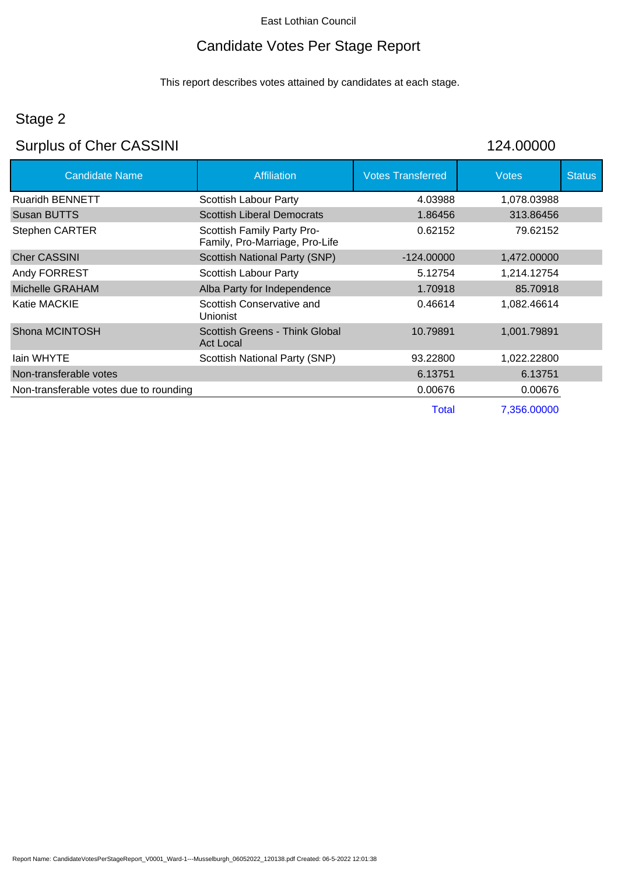## Candidate Votes Per Stage Report

This report describes votes attained by candidates at each stage.

## Stage 2

# Surplus of Cher CASSINI 124.00000

| <b>Candidate Name</b>                  | <b>Affiliation</b>                                           | <b>Votes Transferred</b> | <b>Votes</b> | <b>Status</b> |
|----------------------------------------|--------------------------------------------------------------|--------------------------|--------------|---------------|
| <b>Ruaridh BENNETT</b>                 | Scottish Labour Party                                        | 4.03988                  | 1,078.03988  |               |
| Susan BUTTS                            | <b>Scottish Liberal Democrats</b>                            | 1.86456                  | 313.86456    |               |
| <b>Stephen CARTER</b>                  | Scottish Family Party Pro-<br>Family, Pro-Marriage, Pro-Life | 0.62152                  | 79.62152     |               |
| <b>Cher CASSINI</b>                    | <b>Scottish National Party (SNP)</b>                         | $-124.00000$             | 1,472.00000  |               |
| Andy FORREST                           | Scottish Labour Party                                        | 5.12754                  | 1,214.12754  |               |
| Michelle GRAHAM                        | Alba Party for Independence                                  | 1.70918                  | 85.70918     |               |
| Katie MACKIE                           | Scottish Conservative and<br>Unionist                        | 0.46614                  | 1,082.46614  |               |
| Shona MCINTOSH                         | Scottish Greens - Think Global<br><b>Act Local</b>           | 10.79891                 | 1,001.79891  |               |
| lain WHYTE                             | Scottish National Party (SNP)                                | 93.22800                 | 1,022.22800  |               |
| Non-transferable votes                 |                                                              | 6.13751                  | 6.13751      |               |
| Non-transferable votes due to rounding |                                                              | 0.00676                  | 0.00676      |               |
|                                        |                                                              | <b>Total</b>             | 7,356.00000  |               |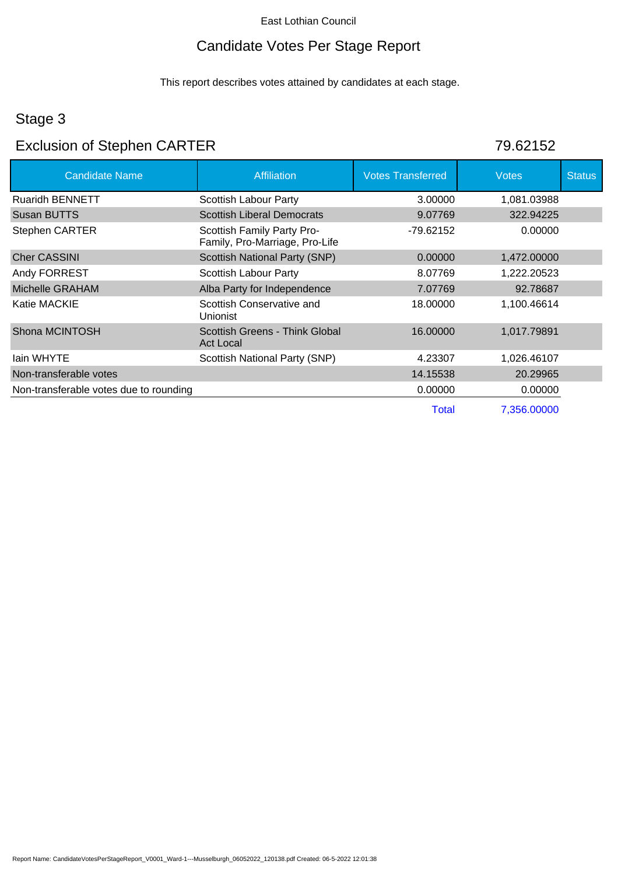## Candidate Votes Per Stage Report

This report describes votes attained by candidates at each stage.

### Stage 3

# Exclusion of Stephen CARTER 79.62152

| <b>Candidate Name</b>                  | <b>Affiliation</b>                                           | <b>Votes Transferred</b> | <b>Votes</b> | <b>Status</b> |
|----------------------------------------|--------------------------------------------------------------|--------------------------|--------------|---------------|
| <b>Ruaridh BENNETT</b>                 | Scottish Labour Party                                        | 3.00000                  | 1,081.03988  |               |
| Susan BUTTS                            | <b>Scottish Liberal Democrats</b>                            | 9.07769                  | 322.94225    |               |
| <b>Stephen CARTER</b>                  | Scottish Family Party Pro-<br>Family, Pro-Marriage, Pro-Life | -79.62152                | 0.00000      |               |
| <b>Cher CASSINI</b>                    | Scottish National Party (SNP)                                | 0.00000                  | 1,472.00000  |               |
| Andy FORREST                           | Scottish Labour Party                                        | 8.07769                  | 1,222.20523  |               |
| Michelle GRAHAM                        | Alba Party for Independence                                  | 7.07769                  | 92.78687     |               |
| Katie MACKIE                           | Scottish Conservative and<br><b>Unionist</b>                 | 18.00000                 | 1,100.46614  |               |
| Shona MCINTOSH                         | Scottish Greens - Think Global<br><b>Act Local</b>           | 16.00000                 | 1,017.79891  |               |
| lain WHYTE                             | Scottish National Party (SNP)                                | 4.23307                  | 1,026.46107  |               |
| Non-transferable votes                 |                                                              | 14.15538                 | 20.29965     |               |
| Non-transferable votes due to rounding |                                                              | 0.00000                  | 0.00000      |               |
|                                        |                                                              | Total                    | 7,356.00000  |               |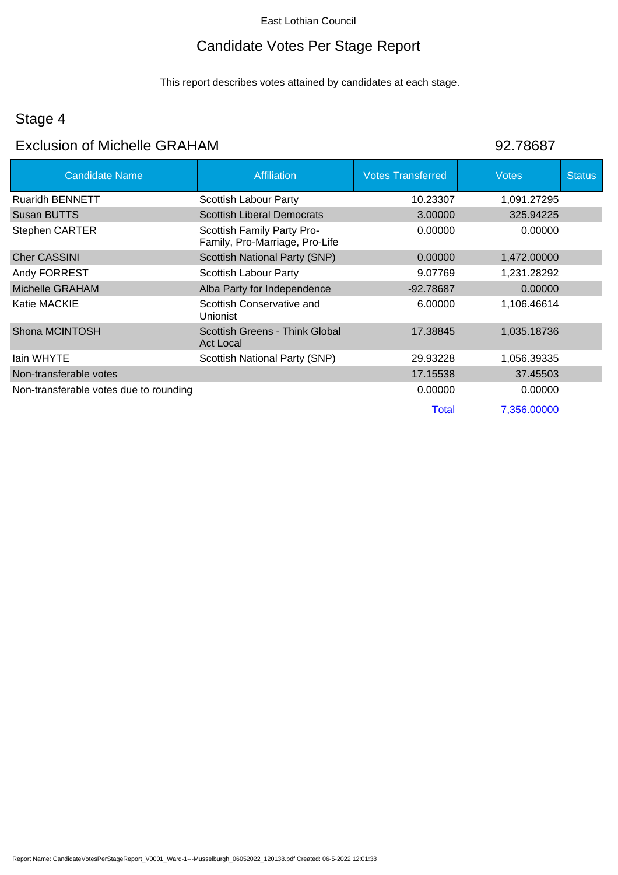## Candidate Votes Per Stage Report

This report describes votes attained by candidates at each stage.

## Stage 4

### Exclusion of Michelle GRAHAM 82.78687

| <b>Candidate Name</b>                  | <b>Affiliation</b>                                           | <b>Votes Transferred</b> | <b>Votes</b> | <b>Status</b> |
|----------------------------------------|--------------------------------------------------------------|--------------------------|--------------|---------------|
| <b>Ruaridh BENNETT</b>                 | Scottish Labour Party                                        | 10.23307                 | 1,091.27295  |               |
| Susan BUTTS                            | <b>Scottish Liberal Democrats</b>                            | 3.00000                  | 325.94225    |               |
| <b>Stephen CARTER</b>                  | Scottish Family Party Pro-<br>Family, Pro-Marriage, Pro-Life | 0.00000                  | 0.00000      |               |
| <b>Cher CASSINI</b>                    | <b>Scottish National Party (SNP)</b>                         | 0.00000                  | 1,472.00000  |               |
| Andy FORREST                           | Scottish Labour Party                                        | 9.07769                  | 1,231.28292  |               |
| Michelle GRAHAM                        | Alba Party for Independence                                  | $-92.78687$              | 0.00000      |               |
| Katie MACKIE                           | Scottish Conservative and<br><b>Unionist</b>                 | 6.00000                  | 1,106.46614  |               |
| Shona MCINTOSH                         | Scottish Greens - Think Global<br><b>Act Local</b>           | 17.38845                 | 1,035.18736  |               |
| lain WHYTE                             | Scottish National Party (SNP)                                | 29.93228                 | 1,056.39335  |               |
| Non-transferable votes                 |                                                              | 17.15538                 | 37.45503     |               |
| Non-transferable votes due to rounding |                                                              | 0.00000                  | 0.00000      |               |
|                                        |                                                              | <b>Total</b>             | 7,356.00000  |               |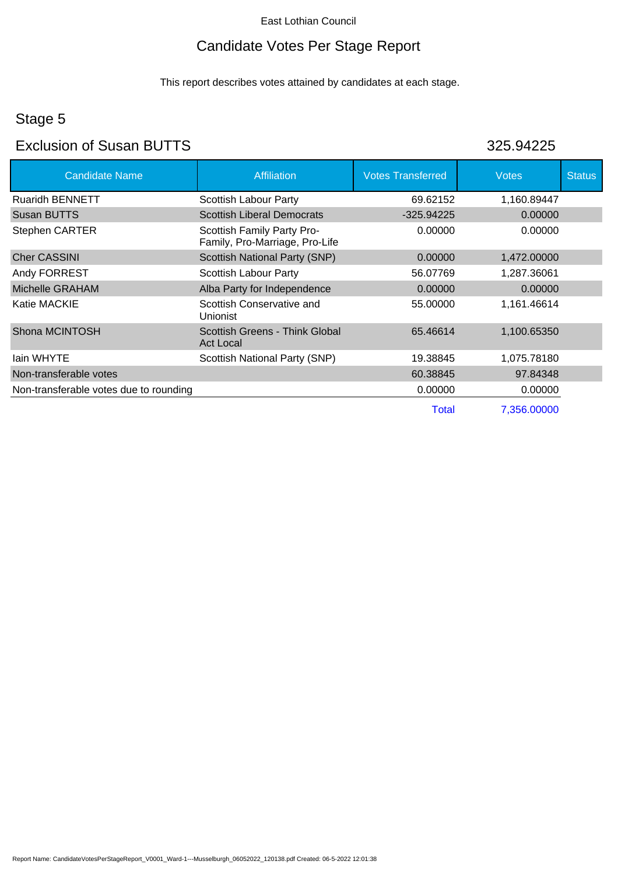## Candidate Votes Per Stage Report

This report describes votes attained by candidates at each stage.

## Stage 5

## Exclusion of Susan BUTTS 325.94225

| <b>Candidate Name</b>                  | Affiliation                                                  | <b>Votes Transferred</b> | <b>Votes</b> | <b>Status</b> |
|----------------------------------------|--------------------------------------------------------------|--------------------------|--------------|---------------|
| <b>Ruaridh BENNETT</b>                 | Scottish Labour Party                                        | 69.62152                 | 1,160.89447  |               |
| Susan BUTTS                            | <b>Scottish Liberal Democrats</b>                            | $-325.94225$             | 0.00000      |               |
| <b>Stephen CARTER</b>                  | Scottish Family Party Pro-<br>Family, Pro-Marriage, Pro-Life | 0.00000                  | 0.00000      |               |
| <b>Cher CASSINI</b>                    | <b>Scottish National Party (SNP)</b>                         | 0.00000                  | 1,472,00000  |               |
| Andy FORREST                           | Scottish Labour Party                                        | 56.07769                 | 1,287.36061  |               |
| Michelle GRAHAM                        | Alba Party for Independence                                  | 0.00000                  | 0.00000      |               |
| Katie MACKIE                           | Scottish Conservative and<br><b>Unionist</b>                 | 55.00000                 | 1,161.46614  |               |
| Shona MCINTOSH                         | Scottish Greens - Think Global<br><b>Act Local</b>           | 65.46614                 | 1,100.65350  |               |
| lain WHYTE                             | Scottish National Party (SNP)                                | 19.38845                 | 1,075.78180  |               |
| Non-transferable votes                 |                                                              | 60.38845                 | 97.84348     |               |
| Non-transferable votes due to rounding |                                                              | 0.00000                  | 0.00000      |               |
|                                        |                                                              | Total                    | 7,356,00000  |               |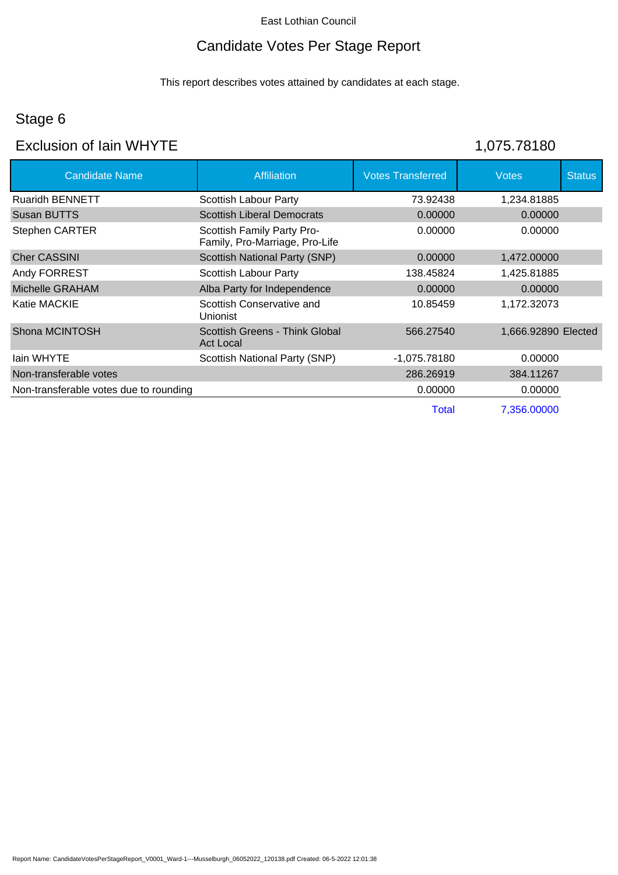## Candidate Votes Per Stage Report

This report describes votes attained by candidates at each stage.

## Stage 6

# Exclusion of Iain WHYTE 1,075.78180

| <b>Candidate Name</b>                  | <b>Affiliation</b>                                           | <b>Votes Transferred</b> | <b>Votes</b>        | <b>Status</b> |
|----------------------------------------|--------------------------------------------------------------|--------------------------|---------------------|---------------|
| <b>Ruaridh BENNETT</b>                 | Scottish Labour Party                                        | 73.92438                 | 1,234.81885         |               |
| Susan BUTTS                            | <b>Scottish Liberal Democrats</b>                            | 0.00000                  | 0.00000             |               |
| Stephen CARTER                         | Scottish Family Party Pro-<br>Family, Pro-Marriage, Pro-Life | 0.00000                  | 0.00000             |               |
| <b>Cher CASSINI</b>                    | <b>Scottish National Party (SNP)</b>                         | 0.00000                  | 1,472,00000         |               |
| Andy FORREST                           | Scottish Labour Party                                        | 138.45824                | 1,425.81885         |               |
| Michelle GRAHAM                        | Alba Party for Independence                                  | 0.00000                  | 0.00000             |               |
| Katie MACKIE                           | Scottish Conservative and<br><b>Unionist</b>                 | 10.85459                 | 1,172.32073         |               |
| Shona MCINTOSH                         | Scottish Greens - Think Global<br><b>Act Local</b>           | 566.27540                | 1,666.92890 Elected |               |
| lain WHYTE                             | Scottish National Party (SNP)                                | -1,075.78180             | 0.00000             |               |
| Non-transferable votes                 |                                                              | 286.26919                | 384.11267           |               |
| Non-transferable votes due to rounding |                                                              | 0.00000                  | 0.00000             |               |
|                                        |                                                              | Total                    | 7,356,00000         |               |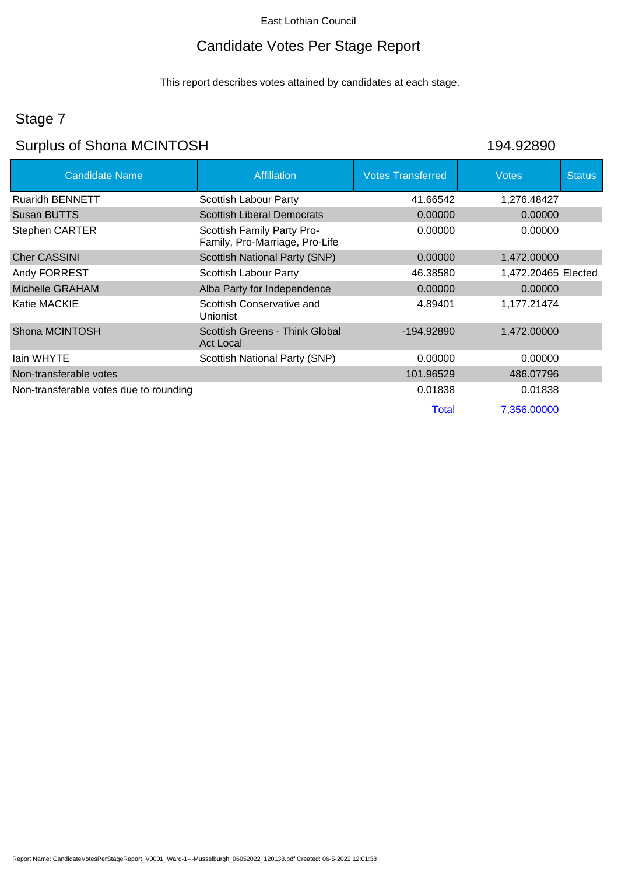## Candidate Votes Per Stage Report

This report describes votes attained by candidates at each stage.

## Stage 7

# Surplus of Shona MCINTOSH 194.92890

| <b>Candidate Name</b>                  | <b>Affiliation</b>                                           | <b>Votes Transferred</b> | <b>Votes</b>        | <b>Status</b> |
|----------------------------------------|--------------------------------------------------------------|--------------------------|---------------------|---------------|
| <b>Ruaridh BENNETT</b>                 | Scottish Labour Party                                        | 41.66542                 | 1,276.48427         |               |
| <b>Susan BUTTS</b>                     | <b>Scottish Liberal Democrats</b>                            | 0.00000                  | 0.00000             |               |
| Stephen CARTER                         | Scottish Family Party Pro-<br>Family, Pro-Marriage, Pro-Life | 0.00000                  | 0.00000             |               |
| <b>Cher CASSINI</b>                    | <b>Scottish National Party (SNP)</b>                         | 0.00000                  | 1,472.00000         |               |
| Andy FORREST                           | Scottish Labour Party                                        | 46.38580                 | 1,472.20465 Elected |               |
| Michelle GRAHAM                        | Alba Party for Independence                                  | 0.00000                  | 0.00000             |               |
| Katie MACKIE                           | Scottish Conservative and<br><b>Unionist</b>                 | 4.89401                  | 1,177.21474         |               |
| Shona MCINTOSH                         | Scottish Greens - Think Global<br><b>Act Local</b>           | -194.92890               | 1,472.00000         |               |
| lain WHYTE                             | Scottish National Party (SNP)                                | 0.00000                  | 0.00000             |               |
| Non-transferable votes                 |                                                              | 101.96529                | 486.07796           |               |
| Non-transferable votes due to rounding |                                                              | 0.01838                  | 0.01838             |               |
|                                        |                                                              | <b>Total</b>             | 7,356.00000         |               |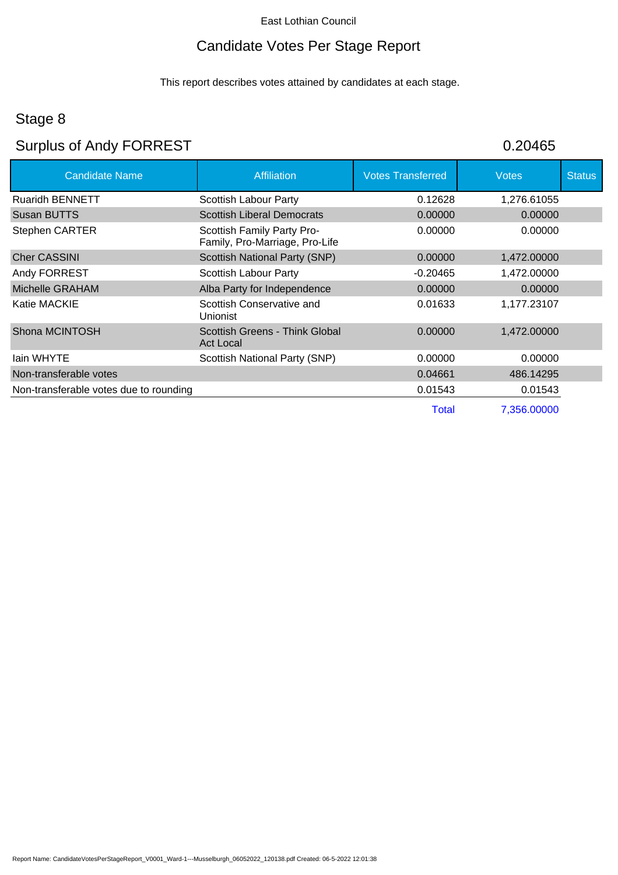# Candidate Votes Per Stage Report

This report describes votes attained by candidates at each stage.

## Stage 8

# Surplus of Andy FORREST **1999** 0.20465

| <b>Candidate Name</b>                  | <b>Affiliation</b>                                           | <b>Votes Transferred</b> | <b>Votes</b> | <b>Status</b> |
|----------------------------------------|--------------------------------------------------------------|--------------------------|--------------|---------------|
| <b>Ruaridh BENNETT</b>                 | Scottish Labour Party                                        | 0.12628                  | 1,276.61055  |               |
| Susan BUTTS                            | <b>Scottish Liberal Democrats</b>                            | 0.00000                  | 0.00000      |               |
| <b>Stephen CARTER</b>                  | Scottish Family Party Pro-<br>Family, Pro-Marriage, Pro-Life | 0.00000                  | 0.00000      |               |
| <b>Cher CASSINI</b>                    | <b>Scottish National Party (SNP)</b>                         | 0.00000                  | 1,472,00000  |               |
| Andy FORREST                           | Scottish Labour Party                                        | $-0.20465$               | 1,472.00000  |               |
| Michelle GRAHAM                        | Alba Party for Independence                                  | 0.00000                  | 0.00000      |               |
| Katie MACKIE                           | Scottish Conservative and<br><b>Unionist</b>                 | 0.01633                  | 1,177.23107  |               |
| Shona MCINTOSH                         | Scottish Greens - Think Global<br><b>Act Local</b>           | 0.00000                  | 1,472.00000  |               |
| lain WHYTE                             | Scottish National Party (SNP)                                | 0.00000                  | 0.00000      |               |
| Non-transferable votes                 |                                                              | 0.04661                  | 486.14295    |               |
| Non-transferable votes due to rounding |                                                              | 0.01543                  | 0.01543      |               |
|                                        |                                                              | Total                    | 7,356.00000  |               |